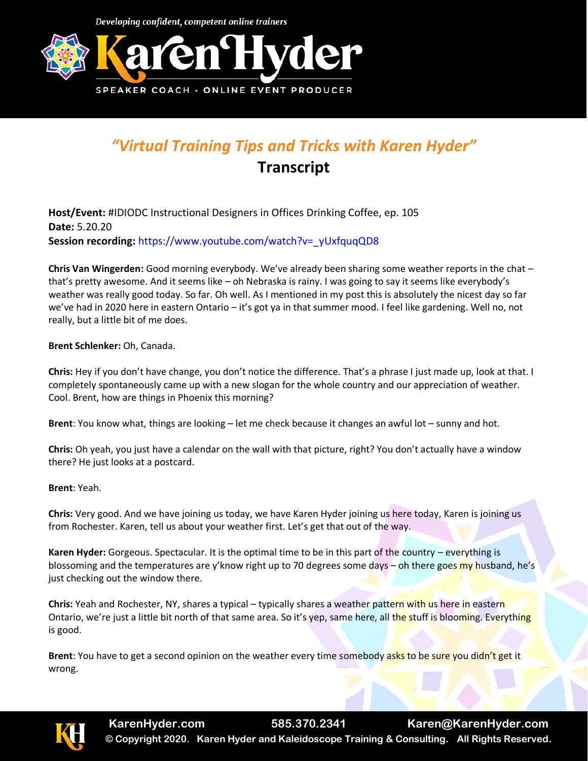

## *"Virtual Training Tips and Tricks with Karen Hyder"* **Transcript**

**Host/Event:** #IDIODC Instructional Designers in Offices Drinking Coffee, ep. 105 **Date:** 5.20.20 **Session recording:** [https://www.youtube.com/watch?v=\\_yUxfquqQD8](https://www.youtube.com/watch?v=_yUxfquqQD8)

**Chris Van Wingerden:** Good morning everybody. We've already been sharing some weather reports in the chat – that's pretty awesome. And it seems like – oh Nebraska is rainy. I was going to say it seems like everybody's weather was really good today. So far. Oh well. As I mentioned in my post this is absolutely the nicest day so far we've had in 2020 here in eastern Ontario – it's got ya in that summer mood. I feel like gardening. Well no, not really, but a little bit of me does.

**Brent Schlenker:** Oh, Canada.

**Chris:** Hey if you don't have change, you don't notice the difference. That's a phrase I just made up, look at that. I completely spontaneously came up with a new slogan for the whole country and our appreciation of weather. Cool. Brent, how are things in Phoenix this morning?

**Brent**: You know what, things are looking – let me check because it changes an awful lot – sunny and hot.

**Chris:** Oh yeah, you just have a calendar on the wall with that picture, right? You don't actually have a window there? He just looks at a postcard.

**Brent**: Yeah.

**Chris:** Very good. And we have joining us today, we have Karen Hyder joining us here today, Karen is joining us from Rochester. Karen, tell us about your weather first. Let's get that out of the way.

**Karen Hyder:** Gorgeous. Spectacular. It is the optimal time to be in this part of the country – everything is blossoming and the temperatures are y'know right up to 70 degrees some days – oh there goes my husband, he's just checking out the window there.

**Chris:** Yeah and Rochester, NY, shares a typical – typically shares a weather pattern with us here in eastern Ontario, we're just a little bit north of that same area. So it's yep, same here, all the stuff is blooming. Everything is good.

**Brent**: You have to get a second opinion on the weather every time somebody asks to be sure you didn't get it wrong.

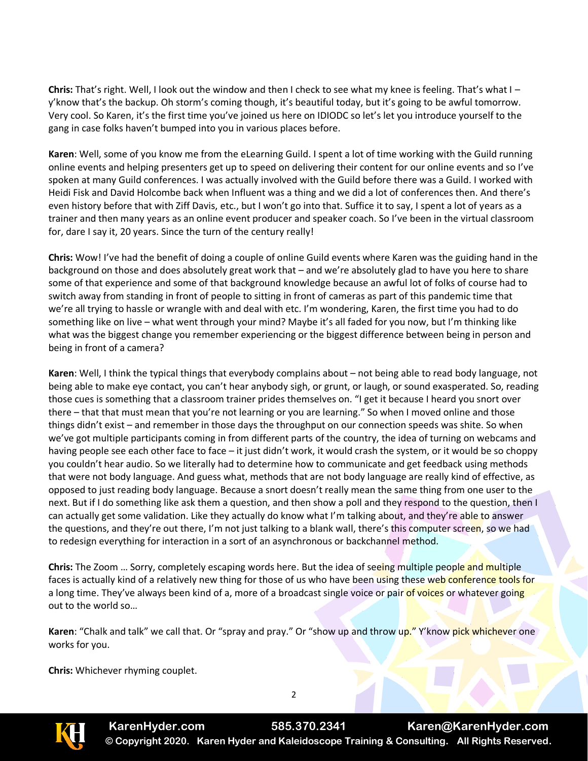**Chris:** That's right. Well, I look out the window and then I check to see what my knee is feeling. That's what I – y'know that's the backup. Oh storm's coming though, it's beautiful today, but it's going to be awful tomorrow. Very cool. So Karen, it's the first time you've joined us here on IDIODC so let's let you introduce yourself to the gang in case folks haven't bumped into you in various places before.

**Karen**: Well, some of you know me from the eLearning Guild. I spent a lot of time working with the Guild running online events and helping presenters get up to speed on delivering their content for our online events and so I've spoken at many Guild conferences. I was actually involved with the Guild before there was a Guild. I worked with Heidi Fisk and David Holcombe back when Influent was a thing and we did a lot of conferences then. And there's even history before that with Ziff Davis, etc., but I won't go into that. Suffice it to say, I spent a lot of years as a trainer and then many years as an online event producer and speaker coach. So I've been in the virtual classroom for, dare I say it, 20 years. Since the turn of the century really!

**Chris:** Wow! I've had the benefit of doing a couple of online Guild events where Karen was the guiding hand in the background on those and does absolutely great work that – and we're absolutely glad to have you here to share some of that experience and some of that background knowledge because an awful lot of folks of course had to switch away from standing in front of people to sitting in front of cameras as part of this pandemic time that we're all trying to hassle or wrangle with and deal with etc. I'm wondering, Karen, the first time you had to do something like on live – what went through your mind? Maybe it's all faded for you now, but I'm thinking like what was the biggest change you remember experiencing or the biggest difference between being in person and being in front of a camera?

**Karen**: Well, I think the typical things that everybody complains about – not being able to read body language, not being able to make eye contact, you can't hear anybody sigh, or grunt, or laugh, or sound exasperated. So, reading those cues is something that a classroom trainer prides themselves on. "I get it because I heard you snort over there – that that must mean that you're not learning or you are learning." So when I moved online and those things didn't exist – and remember in those days the throughput on our connection speeds was shite. So when we've got multiple participants coming in from different parts of the country, the idea of turning on webcams and having people see each other face to face – it just didn't work, it would crash the system, or it would be so choppy you couldn't hear audio. So we literally had to determine how to communicate and get feedback using methods that were not body language. And guess what, methods that are not body language are really kind of effective, as opposed to just reading body language. Because a snort doesn't really mean the same thing from one user to the next. But if I do something like ask them a question, and then show a poll and they respond to the question, then I can actually get some validation. Like they actually do know what I'm talking about, and they're able to answer the questions, and they're out there, I'm not just talking to a blank wall, there's this computer screen, so we had to redesign everything for interaction in a sort of an asynchronous or backchannel method.

**Chris:** The Zoom … Sorry, completely escaping words here. But the idea of seeing multiple people and multiple faces is actually kind of a relatively new thing for those of us who have been using these web conference tools for a long time. They've always been kind of a, more of a broadcast single voice or pair of voices or whatever going out to the world so…

**Karen**: "Chalk and talk" we call that. Or "spray and pray." Or "show up and throw up." Y'know pick whichever one works for you.

**Chris:** Whichever rhyming couplet.

2



**KarenHyder.com 585.370.2341 Karen@KarenHyder.com © Copyright 2020. Karen Hyder and Kaleidoscope Training & Consulting. All Rights Reserved.**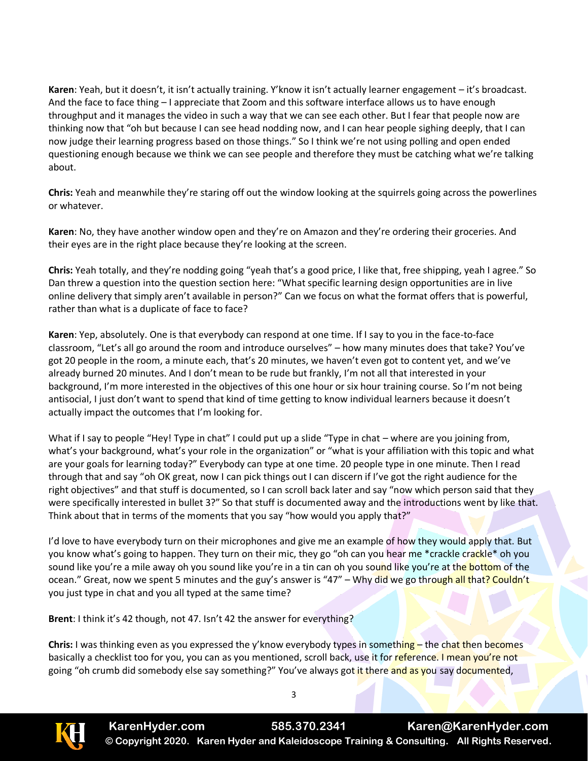**Karen**: Yeah, but it doesn't, it isn't actually training. Y'know it isn't actually learner engagement – it's broadcast. And the face to face thing – I appreciate that Zoom and this software interface allows us to have enough throughput and it manages the video in such a way that we can see each other. But I fear that people now are thinking now that "oh but because I can see head nodding now, and I can hear people sighing deeply, that I can now judge their learning progress based on those things." So I think we're not using polling and open ended questioning enough because we think we can see people and therefore they must be catching what we're talking about.

**Chris:** Yeah and meanwhile they're staring off out the window looking at the squirrels going across the powerlines or whatever.

**Karen**: No, they have another window open and they're on Amazon and they're ordering their groceries. And their eyes are in the right place because they're looking at the screen.

**Chris:** Yeah totally, and they're nodding going "yeah that's a good price, I like that, free shipping, yeah I agree." So Dan threw a question into the question section here: "What specific learning design opportunities are in live online delivery that simply aren't available in person?" Can we focus on what the format offers that is powerful, rather than what is a duplicate of face to face?

**Karen**: Yep, absolutely. One is that everybody can respond at one time. If I say to you in the face-to-face classroom, "Let's all go around the room and introduce ourselves" – how many minutes does that take? You've got 20 people in the room, a minute each, that's 20 minutes, we haven't even got to content yet, and we've already burned 20 minutes. And I don't mean to be rude but frankly, I'm not all that interested in your background, I'm more interested in the objectives of this one hour or six hour training course. So I'm not being antisocial, I just don't want to spend that kind of time getting to know individual learners because it doesn't actually impact the outcomes that I'm looking for.

What if I say to people "Hey! Type in chat" I could put up a slide "Type in chat – where are you joining from, what's your background, what's your role in the organization" or "what is your affiliation with this topic and what are your goals for learning today?" Everybody can type at one time. 20 people type in one minute. Then I read through that and say "oh OK great, now I can pick things out I can discern if I've got the right audience for the right objectives" and that stuff is documented, so I can scroll back later and say "now which person said that they were specifically interested in bullet 3?" So that stuff is documented away and the introductions went by like that. Think about that in terms of the moments that you say "how would you apply that?"

I'd love to have everybody turn on their microphones and give me an example of how they would apply that. But you know what's going to happen. They turn on their mic, they go "oh can you hear me \*crackle crackle\* oh you sound like you're a mile away oh you sound like you're in a tin can oh you sound like you're at the bottom of the ocean." Great, now we spent 5 minutes and the guy's answer is "47" – Why did we go through all that? Couldn't you just type in chat and you all typed at the same time?

**Brent**: I think it's 42 though, not 47. Isn't 42 the answer for everything?

**Chris:** I was thinking even as you expressed the y'know everybody types in something – the chat then becomes basically a checklist too for you, you can as you mentioned, scroll back, use it for reference. I mean you're not going "oh crumb did somebody else say something?" You've always got it there and as you say documented,

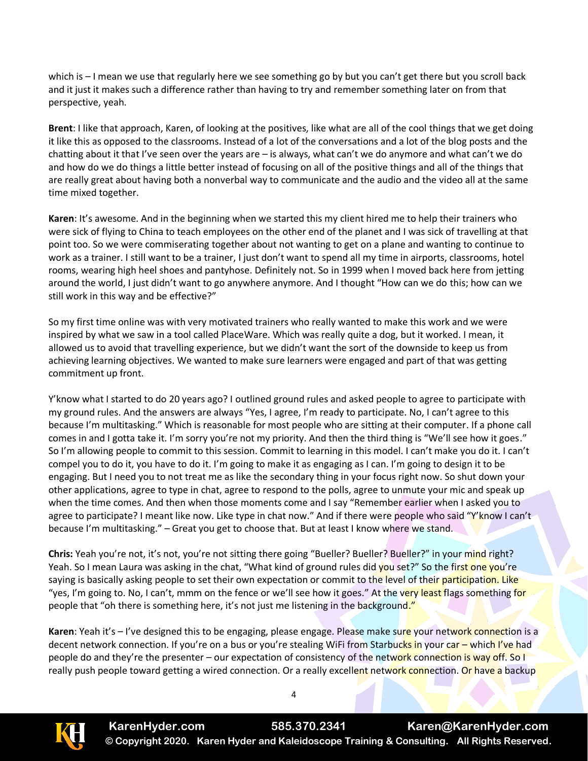which is – I mean we use that regularly here we see something go by but you can't get there but you scroll back and it just it makes such a difference rather than having to try and remember something later on from that perspective, yeah.

**Brent**: I like that approach, Karen, of looking at the positives, like what are all of the cool things that we get doing it like this as opposed to the classrooms. Instead of a lot of the conversations and a lot of the blog posts and the chatting about it that I've seen over the years are – is always, what can't we do anymore and what can't we do and how do we do things a little better instead of focusing on all of the positive things and all of the things that are really great about having both a nonverbal way to communicate and the audio and the video all at the same time mixed together.

**Karen**: It's awesome. And in the beginning when we started this my client hired me to help their trainers who were sick of flying to China to teach employees on the other end of the planet and I was sick of travelling at that point too. So we were commiserating together about not wanting to get on a plane and wanting to continue to work as a trainer. I still want to be a trainer, I just don't want to spend all my time in airports, classrooms, hotel rooms, wearing high heel shoes and pantyhose. Definitely not. So in 1999 when I moved back here from jetting around the world, I just didn't want to go anywhere anymore. And I thought "How can we do this; how can we still work in this way and be effective?"

So my first time online was with very motivated trainers who really wanted to make this work and we were inspired by what we saw in a tool called PlaceWare. Which was really quite a dog, but it worked. I mean, it allowed us to avoid that travelling experience, but we didn't want the sort of the downside to keep us from achieving learning objectives. We wanted to make sure learners were engaged and part of that was getting commitment up front.

Y'know what I started to do 20 years ago? I outlined ground rules and asked people to agree to participate with my ground rules. And the answers are always "Yes, I agree, I'm ready to participate. No, I can't agree to this because I'm multitasking." Which is reasonable for most people who are sitting at their computer. If a phone call comes in and I gotta take it. I'm sorry you're not my priority. And then the third thing is "We'll see how it goes." So I'm allowing people to commit to this session. Commit to learning in this model. I can't make you do it. I can't compel you to do it, you have to do it. I'm going to make it as engaging as I can. I'm going to design it to be engaging. But I need you to not treat me as like the secondary thing in your focus right now. So shut down your other applications, agree to type in chat, agree to respond to the polls, agree to unmute your mic and speak up when the time comes. And then when those moments come and I say "Remember earlier when I asked you to agree to participate? I meant like now. Like type in chat now." And if there were people who said "Y'know I can't because I'm multitasking." – Great you get to choose that. But at least I know where we stand.

**Chris:** Yeah you're not, it's not, you're not sitting there going "Bueller? Bueller? Bueller?" in your mind right? Yeah. So I mean Laura was asking in the chat, "What kind of ground rules did you set?" So the first one you're saying is basically asking people to set their own expectation or commit to the level of their participation. Like "yes, I'm going to. No, I can't, mmm on the fence or we'll see how it goes." At the very least flags something for people that "oh there is something here, it's not just me listening in the background."

**Karen**: Yeah it's – I've designed this to be engaging, please engage. Please make sure your network connection is a decent network connection. If you're on a bus or you're stealing WiFi from Starbucks in your car - which I've had people do and they're the presenter – our expectation of consistency of the network connection is way off. So I really push people toward getting a wired connection. Or a really excellent network connection. Or have a backup

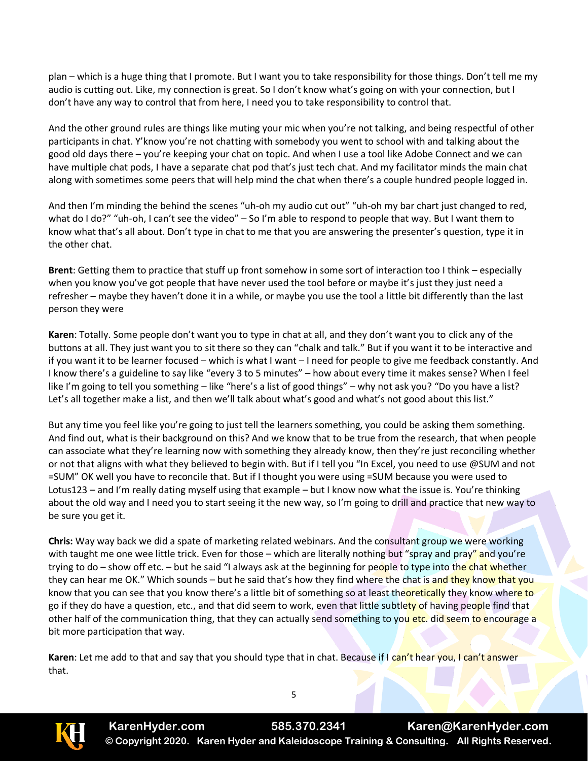plan – which is a huge thing that I promote. But I want you to take responsibility for those things. Don't tell me my audio is cutting out. Like, my connection is great. So I don't know what's going on with your connection, but I don't have any way to control that from here, I need you to take responsibility to control that.

And the other ground rules are things like muting your mic when you're not talking, and being respectful of other participants in chat. Y'know you're not chatting with somebody you went to school with and talking about the good old days there – you're keeping your chat on topic. And when I use a tool like Adobe Connect and we can have multiple chat pods, I have a separate chat pod that's just tech chat. And my facilitator minds the main chat along with sometimes some peers that will help mind the chat when there's a couple hundred people logged in.

And then I'm minding the behind the scenes "uh-oh my audio cut out" "uh-oh my bar chart just changed to red, what do I do?" "uh-oh, I can't see the video" – So I'm able to respond to people that way. But I want them to know what that's all about. Don't type in chat to me that you are answering the presenter's question, type it in the other chat.

**Brent**: Getting them to practice that stuff up front somehow in some sort of interaction too I think – especially when you know you've got people that have never used the tool before or maybe it's just they just need a refresher – maybe they haven't done it in a while, or maybe you use the tool a little bit differently than the last person they were

**Karen**: Totally. Some people don't want you to type in chat at all, and they don't want you to click any of the buttons at all. They just want you to sit there so they can "chalk and talk." But if you want it to be interactive and if you want it to be learner focused – which is what I want – I need for people to give me feedback constantly. And I know there's a guideline to say like "every 3 to 5 minutes" – how about every time it makes sense? When I feel like I'm going to tell you something – like "here's a list of good things" – why not ask you? "Do you have a list? Let's all together make a list, and then we'll talk about what's good and what's not good about this list."

But any time you feel like you're going to just tell the learners something, you could be asking them something. And find out, what is their background on this? And we know that to be true from the research, that when people can associate what they're learning now with something they already know, then they're just reconciling whether or not that aligns with what they believed to begin with. But if I tell you "In Excel, you need to use @SUM and not =SUM" OK well you have to reconcile that. But if I thought you were using =SUM because you were used to Lotus123 – and I'm really dating myself using that example – but I know now what the issue is. You're thinking about the old way and I need you to start seeing it the new way, so I'm going to drill and practice that new way to be sure you get it.

**Chris:** Way way back we did a spate of marketing related webinars. And the consultant group we were working with taught me one wee little trick. Even for those – which are literally nothing but "spray and pray" and you're trying to do – show off etc. – but he said "I always ask at the beginning for people to type into the chat whether they can hear me OK." Which sounds – but he said that's how they find where the chat is and they know that you know that you can see that you know there's a little bit of something so at least theoretically they know where to go if they do have a question, etc., and that did seem to work, even that little subtlety of having people find that other half of the communication thing, that they can actually send something to you etc. did seem to encourage a bit more participation that way.

**Karen**: Let me add to that and say that you should type that in chat. Because if I can't hear you, I can't answer that.

**KarenHyder.com 585.370.2341 Karen@KarenHyder.com © Copyright 2020. Karen Hyder and Kaleidoscope Training & Consulting. All Rights Reserved.**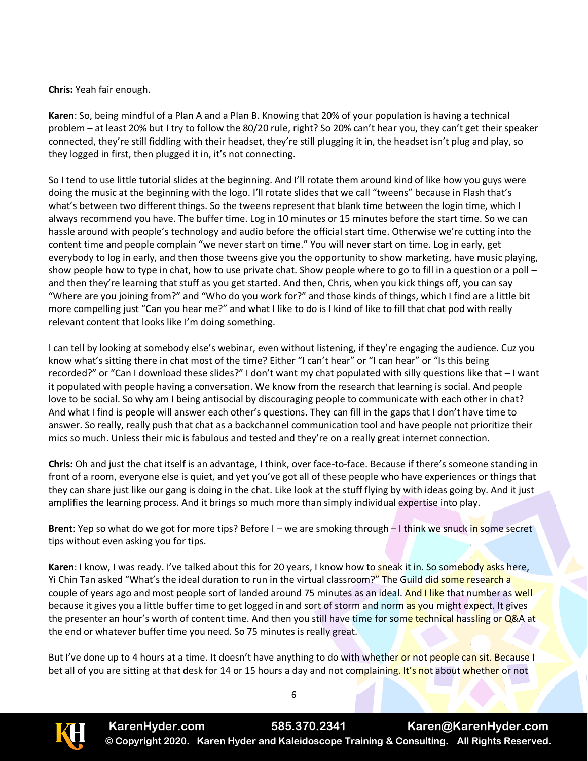**Chris:** Yeah fair enough.

**Karen**: So, being mindful of a Plan A and a Plan B. Knowing that 20% of your population is having a technical problem – at least 20% but I try to follow the 80/20 rule, right? So 20% can't hear you, they can't get their speaker connected, they're still fiddling with their headset, they're still plugging it in, the headset isn't plug and play, so they logged in first, then plugged it in, it's not connecting.

So I tend to use little tutorial slides at the beginning. And I'll rotate them around kind of like how you guys were doing the music at the beginning with the logo. I'll rotate slides that we call "tweens" because in Flash that's what's between two different things. So the tweens represent that blank time between the login time, which I always recommend you have. The buffer time. Log in 10 minutes or 15 minutes before the start time. So we can hassle around with people's technology and audio before the official start time. Otherwise we're cutting into the content time and people complain "we never start on time." You will never start on time. Log in early, get everybody to log in early, and then those tweens give you the opportunity to show marketing, have music playing, show people how to type in chat, how to use private chat. Show people where to go to fill in a question or a poll – and then they're learning that stuff as you get started. And then, Chris, when you kick things off, you can say "Where are you joining from?" and "Who do you work for?" and those kinds of things, which I find are a little bit more compelling just "Can you hear me?" and what I like to do is I kind of like to fill that chat pod with really relevant content that looks like I'm doing something.

I can tell by looking at somebody else's webinar, even without listening, if they're engaging the audience. Cuz you know what's sitting there in chat most of the time? Either "I can't hear" or "I can hear" or "Is this being recorded?" or "Can I download these slides?" I don't want my chat populated with silly questions like that – I want it populated with people having a conversation. We know from the research that learning is social. And people love to be social. So why am I being antisocial by discouraging people to communicate with each other in chat? And what I find is people will answer each other's questions. They can fill in the gaps that I don't have time to answer. So really, really push that chat as a backchannel communication tool and have people not prioritize their mics so much. Unless their mic is fabulous and tested and they're on a really great internet connection.

**Chris:** Oh and just the chat itself is an advantage, I think, over face-to-face. Because if there's someone standing in front of a room, everyone else is quiet, and yet you've got all of these people who have experiences or things that they can share just like our gang is doing in the chat. Like look at the stuff flying by with ideas going by. And it just amplifies the learning process. And it brings so much more than simply individual expertise into play.

**Brent**: Yep so what do we got for more tips? Before I – we are smoking through – I think we snuck in some secret tips without even asking you for tips.

**Karen**: I know, I was ready. I've talked about this for 20 years, I know how to sneak it in. So somebody asks here, Yi Chin Tan asked "What's the ideal duration to run in the virtual classroom?" The Guild did some research a couple of years ago and most people sort of landed around 75 minutes as an ideal. And I like that number as well because it gives you a little buffer time to get logged in and sort of storm and norm as you might expect. It gives the presenter an hour's worth of content time. And then you still have time for some technical hassling or Q&A at the end or whatever buffer time you need. So 75 minutes is really great.

But I've done up to 4 hours at a time. It doesn't have anything to do with whether or not people can sit. Because I bet all of you are sitting at that desk for 14 or 15 hours a day and not complaining. It's not about whether or not

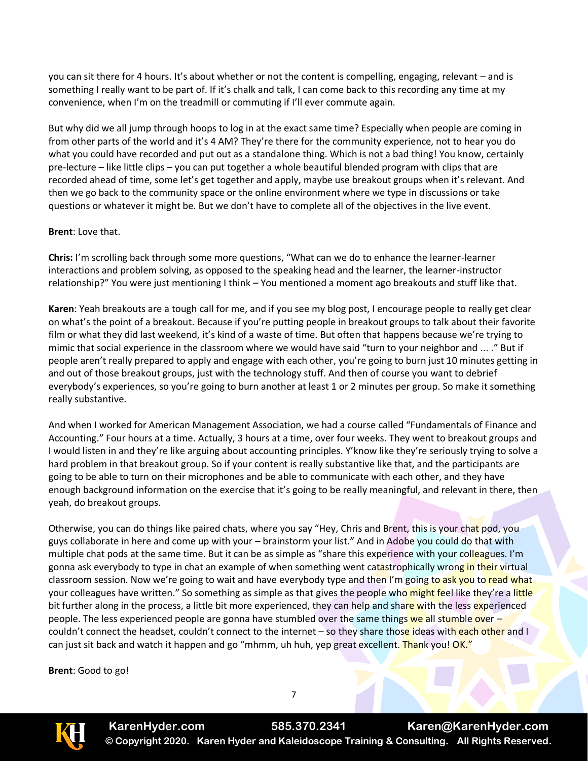you can sit there for 4 hours. It's about whether or not the content is compelling, engaging, relevant – and is something I really want to be part of. If it's chalk and talk, I can come back to this recording any time at my convenience, when I'm on the treadmill or commuting if I'll ever commute again.

But why did we all jump through hoops to log in at the exact same time? Especially when people are coming in from other parts of the world and it's 4 AM? They're there for the community experience, not to hear you do what you could have recorded and put out as a standalone thing. Which is not a bad thing! You know, certainly pre-lecture – like little clips – you can put together a whole beautiful blended program with clips that are recorded ahead of time, some let's get together and apply, maybe use breakout groups when it's relevant. And then we go back to the community space or the online environment where we type in discussions or take questions or whatever it might be. But we don't have to complete all of the objectives in the live event.

## **Brent**: Love that.

**Chris:** I'm scrolling back through some more questions, "What can we do to enhance the learner-learner interactions and problem solving, as opposed to the speaking head and the learner, the learner-instructor relationship?" You were just mentioning I think – You mentioned a moment ago breakouts and stuff like that.

**Karen**: Yeah breakouts are a tough call for me, and if you see my blog post, I encourage people to really get clear on what's the point of a breakout. Because if you're putting people in breakout groups to talk about their favorite film or what they did last weekend, it's kind of a waste of time. But often that happens because we're trying to mimic that social experience in the classroom where we would have said "turn to your neighbor and ... ." But if people aren't really prepared to apply and engage with each other, you're going to burn just 10 minutes getting in and out of those breakout groups, just with the technology stuff. And then of course you want to debrief everybody's experiences, so you're going to burn another at least 1 or 2 minutes per group. So make it something really substantive.

And when I worked for American Management Association, we had a course called "Fundamentals of Finance and Accounting." Four hours at a time. Actually, 3 hours at a time, over four weeks. They went to breakout groups and I would listen in and they're like arguing about accounting principles. Y'know like they're seriously trying to solve a hard problem in that breakout group. So if your content is really substantive like that, and the participants are going to be able to turn on their microphones and be able to communicate with each other, and they have enough background information on the exercise that it's going to be really meaningful, and relevant in there, then yeah, do breakout groups.

Otherwise, you can do things like paired chats, where you say "Hey, Chris and Brent, this is your chat pod, you guys collaborate in here and come up with your – brainstorm your list." And in Adobe you could do that with multiple chat pods at the same time. But it can be as simple as "share this experience with your colleagues. I'm gonna ask everybody to type in chat an example of when something went catastrophically wrong in their virtual classroom session. Now we're going to wait and have everybody type and then I'm going to ask you to read what your colleagues have written." So something as simple as that gives the people who might feel like they're a little bit further along in the process, a little bit more experienced, they can help and share with the less experienced people. The less experienced people are gonna have stumbled over the same things we all stumble over – couldn't connect the headset, couldn't connect to the internet – so they share those ideas with each other and I can just sit back and watch it happen and go "mhmm, uh huh, yep great excellent. Thank you! OK."

**Brent**: Good to go!

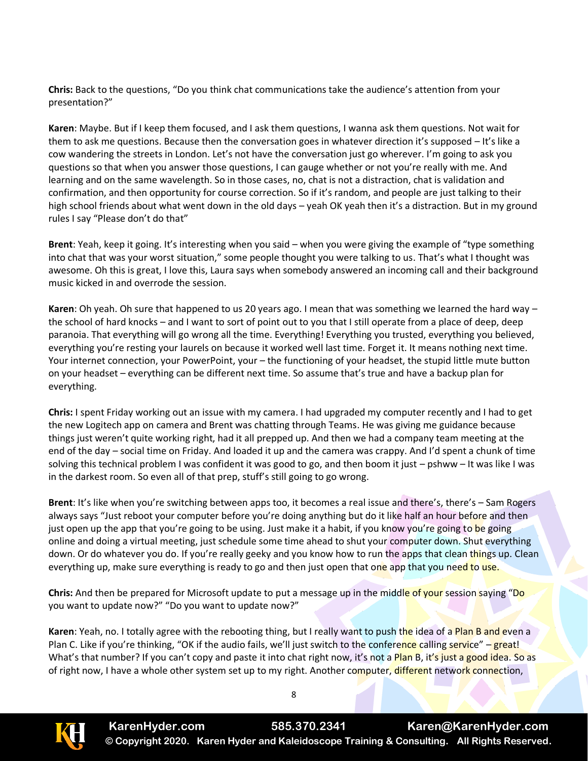**Chris:** Back to the questions, "Do you think chat communications take the audience's attention from your presentation?"

**Karen**: Maybe. But if I keep them focused, and I ask them questions, I wanna ask them questions. Not wait for them to ask me questions. Because then the conversation goes in whatever direction it's supposed – It's like a cow wandering the streets in London. Let's not have the conversation just go wherever. I'm going to ask you questions so that when you answer those questions, I can gauge whether or not you're really with me. And learning and on the same wavelength. So in those cases, no, chat is not a distraction, chat is validation and confirmation, and then opportunity for course correction. So if it's random, and people are just talking to their high school friends about what went down in the old days – yeah OK yeah then it's a distraction. But in my ground rules I say "Please don't do that"

**Brent**: Yeah, keep it going. It's interesting when you said – when you were giving the example of "type something into chat that was your worst situation," some people thought you were talking to us. That's what I thought was awesome. Oh this is great, I love this, Laura says when somebody answered an incoming call and their background music kicked in and overrode the session.

**Karen**: Oh yeah. Oh sure that happened to us 20 years ago. I mean that was something we learned the hard way – the school of hard knocks – and I want to sort of point out to you that I still operate from a place of deep, deep paranoia. That everything will go wrong all the time. Everything! Everything you trusted, everything you believed, everything you're resting your laurels on because it worked well last time. Forget it. It means nothing next time. Your internet connection, your PowerPoint, your – the functioning of your headset, the stupid little mute button on your headset – everything can be different next time. So assume that's true and have a backup plan for everything.

**Chris:** I spent Friday working out an issue with my camera. I had upgraded my computer recently and I had to get the new Logitech app on camera and Brent was chatting through Teams. He was giving me guidance because things just weren't quite working right, had it all prepped up. And then we had a company team meeting at the end of the day – social time on Friday. And loaded it up and the camera was crappy. And I'd spent a chunk of time solving this technical problem I was confident it was good to go, and then boom it just – pshww – It was like I was in the darkest room. So even all of that prep, stuff's still going to go wrong.

**Brent**: It's like when you're switching between apps too, it becomes a real issue and there's, there's – Sam Rogers always says "Just reboot your computer before you're doing anything but do it like half an hour before and then just open up the app that you're going to be using. Just make it a habit, if you know you're going to be going online and doing a virtual meeting, just schedule some time ahead to shut your computer down. Shut everything down. Or do whatever you do. If you're really geeky and you know how to run the apps that clean things up. Clean everything up, make sure everything is ready to go and then just open that one app that you need to use.

**Chris:** And then be prepared for Microsoft update to put a message up in the middle of your session saying "Do you want to update now?" "Do you want to update now?"

**Karen**: Yeah, no. I totally agree with the rebooting thing, but I really want to push the idea of a Plan B and even a Plan C. Like if you're thinking, "OK if the audio fails, we'll just switch to the conference calling service" – great! What's that number? If you can't copy and paste it into chat right now, it's not a Plan B, it's just a good idea. So as of right now, I have a whole other system set up to my right. Another computer, different network connection,

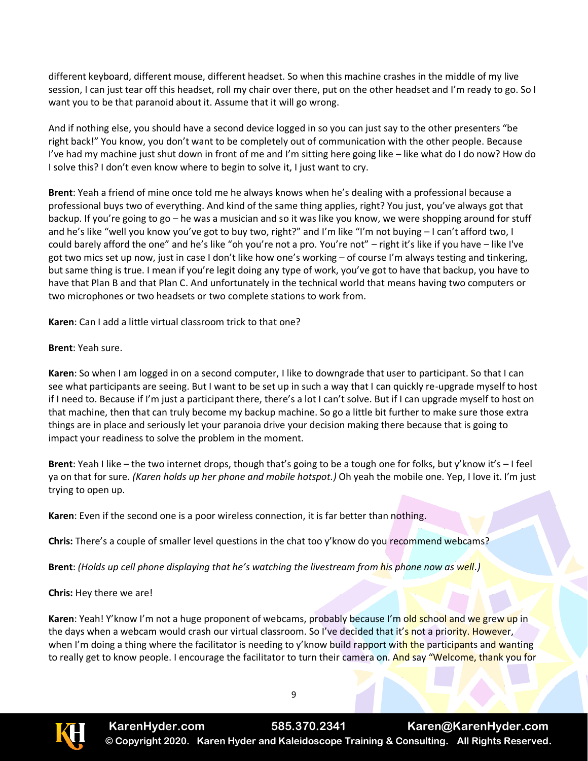different keyboard, different mouse, different headset. So when this machine crashes in the middle of my live session, I can just tear off this headset, roll my chair over there, put on the other headset and I'm ready to go. So I want you to be that paranoid about it. Assume that it will go wrong.

And if nothing else, you should have a second device logged in so you can just say to the other presenters "be right back!" You know, you don't want to be completely out of communication with the other people. Because I've had my machine just shut down in front of me and I'm sitting here going like – like what do I do now? How do I solve this? I don't even know where to begin to solve it, I just want to cry.

**Brent**: Yeah a friend of mine once told me he always knows when he's dealing with a professional because a professional buys two of everything. And kind of the same thing applies, right? You just, you've always got that backup. If you're going to go – he was a musician and so it was like you know, we were shopping around for stuff and he's like "well you know you've got to buy two, right?" and I'm like "I'm not buying – I can't afford two, I could barely afford the one" and he's like "oh you're not a pro. You're not" – right it's like if you have – like I've got two mics set up now, just in case I don't like how one's working – of course I'm always testing and tinkering, but same thing is true. I mean if you're legit doing any type of work, you've got to have that backup, you have to have that Plan B and that Plan C. And unfortunately in the technical world that means having two computers or two microphones or two headsets or two complete stations to work from.

**Karen**: Can I add a little virtual classroom trick to that one?

**Brent**: Yeah sure.

**Karen**: So when I am logged in on a second computer, I like to downgrade that user to participant. So that I can see what participants are seeing. But I want to be set up in such a way that I can quickly re-upgrade myself to host if I need to. Because if I'm just a participant there, there's a lot I can't solve. But if I can upgrade myself to host on that machine, then that can truly become my backup machine. So go a little bit further to make sure those extra things are in place and seriously let your paranoia drive your decision making there because that is going to impact your readiness to solve the problem in the moment.

**Brent**: Yeah I like – the two internet drops, though that's going to be a tough one for folks, but y'know it's – I feel ya on that for sure. *(Karen holds up her phone and mobile hotspot.)* Oh yeah the mobile one. Yep, I love it. I'm just trying to open up.

**Karen**: Even if the second one is a poor wireless connection, it is far better than nothing.

**Chris:** There's a couple of smaller level questions in the chat too y'know do you recommend webcams?

**Brent**: *(Holds up cell phone displaying that he's watching the livestream from his phone now as well.)*

**Chris:** Hey there we are!

**Karen**: Yeah! Y'know I'm not a huge proponent of webcams, probably because I'm old school and we grew up in the days when a webcam would crash our virtual classroom. So I've decided that it's not a priority. However, when I'm doing a thing where the facilitator is needing to y'know build rapport with the participants and wanting to really get to know people. I encourage the facilitator to turn their camera on. And say "Welcome, thank you for

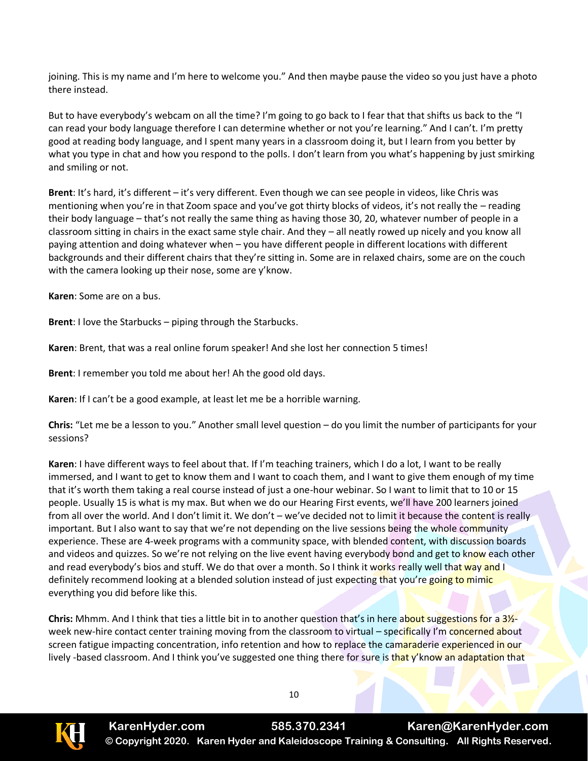joining. This is my name and I'm here to welcome you." And then maybe pause the video so you just have a photo there instead.

But to have everybody's webcam on all the time? I'm going to go back to I fear that that shifts us back to the "I can read your body language therefore I can determine whether or not you're learning." And I can't. I'm pretty good at reading body language, and I spent many years in a classroom doing it, but I learn from you better by what you type in chat and how you respond to the polls. I don't learn from you what's happening by just smirking and smiling or not.

**Brent**: It's hard, it's different – it's very different. Even though we can see people in videos, like Chris was mentioning when you're in that Zoom space and you've got thirty blocks of videos, it's not really the – reading their body language – that's not really the same thing as having those 30, 20, whatever number of people in a classroom sitting in chairs in the exact same style chair. And they – all neatly rowed up nicely and you know all paying attention and doing whatever when – you have different people in different locations with different backgrounds and their different chairs that they're sitting in. Some are in relaxed chairs, some are on the couch with the camera looking up their nose, some are y'know.

**Karen**: Some are on a bus.

**Brent**: I love the Starbucks – piping through the Starbucks.

**Karen**: Brent, that was a real online forum speaker! And she lost her connection 5 times!

**Brent**: I remember you told me about her! Ah the good old days.

**Karen**: If I can't be a good example, at least let me be a horrible warning.

**Chris:** "Let me be a lesson to you." Another small level question – do you limit the number of participants for your sessions?

**Karen**: I have different ways to feel about that. If I'm teaching trainers, which I do a lot, I want to be really immersed, and I want to get to know them and I want to coach them, and I want to give them enough of my time that it's worth them taking a real course instead of just a one-hour webinar. So I want to limit that to 10 or 15 people. Usually 15 is what is my max. But when we do our Hearing First events, we'll have 200 learners joined from all over the world. And I don't limit it. We don't – we've decided not to limit it because the content is really important. But I also want to say that we're not depending on the live sessions being the whole community experience. These are 4-week programs with a community space, with blended content, with discussion boards and videos and quizzes. So we're not relying on the live event having everybody bond and get to know each other and read everybody's bios and stuff. We do that over a month. So I think it works really well that way and I definitely recommend looking at a blended solution instead of just expecting that you're going to mimic everything you did before like this.

**Chris:** Mhmm. And I think that ties a little bit in to another question that's in here about suggestions for a 3½ week new-hire contact center training moving from the classroom to virtual – specifically I'm concerned about screen fatigue impacting concentration, info retention and how to replace the camaraderie experienced in our lively -based classroom. And I think you've suggested one thing there for sure is that y'know an adaptation that



**KarenHyder.com 585.370.2341 Karen@KarenHyder.com © Copyright 2020. Karen Hyder and Kaleidoscope Training & Consulting. All Rights Reserved.**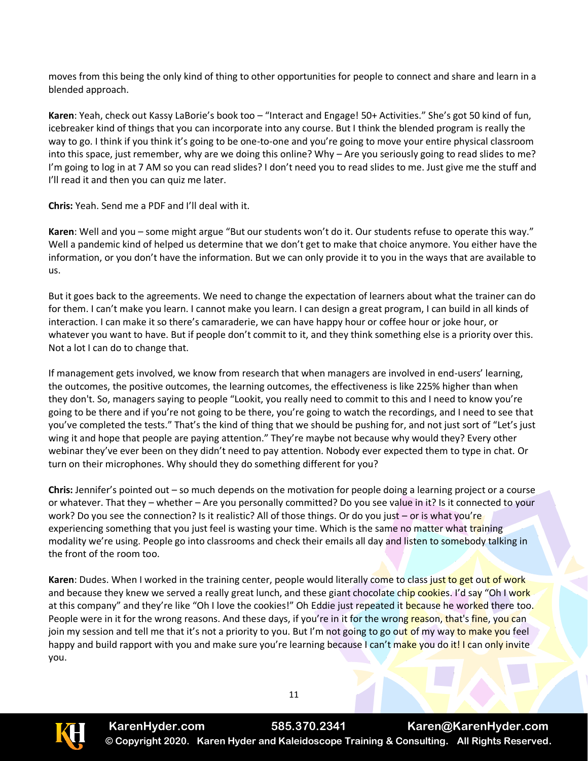moves from this being the only kind of thing to other opportunities for people to connect and share and learn in a blended approach.

**Karen**: Yeah, check out Kassy LaBorie's book too – "Interact and Engage! 50+ Activities." She's got 50 kind of fun, icebreaker kind of things that you can incorporate into any course. But I think the blended program is really the way to go. I think if you think it's going to be one-to-one and you're going to move your entire physical classroom into this space, just remember, why are we doing this online? Why – Are you seriously going to read slides to me? I'm going to log in at 7 AM so you can read slides? I don't need you to read slides to me. Just give me the stuff and I'll read it and then you can quiz me later.

**Chris:** Yeah. Send me a PDF and I'll deal with it.

**Karen**: Well and you – some might argue "But our students won't do it. Our students refuse to operate this way." Well a pandemic kind of helped us determine that we don't get to make that choice anymore. You either have the information, or you don't have the information. But we can only provide it to you in the ways that are available to us.

But it goes back to the agreements. We need to change the expectation of learners about what the trainer can do for them. I can't make you learn. I cannot make you learn. I can design a great program, I can build in all kinds of interaction. I can make it so there's camaraderie, we can have happy hour or coffee hour or joke hour, or whatever you want to have. But if people don't commit to it, and they think something else is a priority over this. Not a lot I can do to change that.

If management gets involved, we know from research that when managers are involved in end-users' learning, the outcomes, the positive outcomes, the learning outcomes, the effectiveness is like 225% higher than when they don't. So, managers saying to people "Lookit, you really need to commit to this and I need to know you're going to be there and if you're not going to be there, you're going to watch the recordings, and I need to see that you've completed the tests." That's the kind of thing that we should be pushing for, and not just sort of "Let's just wing it and hope that people are paying attention." They're maybe not because why would they? Every other webinar they've ever been on they didn't need to pay attention. Nobody ever expected them to type in chat. Or turn on their microphones. Why should they do something different for you?

**Chris:** Jennifer's pointed out – so much depends on the motivation for people doing a learning project or a course or whatever. That they – whether – Are you personally committed? Do you see value in it? Is it connected to your work? Do you see the connection? Is it realistic? All of those things. Or do you just – or is what you're experiencing something that you just feel is wasting your time. Which is the same no matter what training modality we're using. People go into classrooms and check their emails all day and listen to somebody talking in the front of the room too.

**Karen:** Dudes. When I worked in the training center, people would literally come to class just to get out of work and because they knew we served a really great lunch, and these giant chocolate chip cookies. I'd say "Oh I work at this company" and they're like "Oh I love the cookies!" Oh Eddie just repeated it because he worked there too. People were in it for the wrong reasons. And these days, if you're in it for the wrong reason, that's fine, you can join my session and tell me that it's not a priority to you. But I'm not going to go out of my way to make you feel happy and build rapport with you and make sure you're learning because I can't make you do it! I can only invite you.



**KarenHyder.com 585.370.2341 Karen@KarenHyder.com © Copyright 2020. Karen Hyder and Kaleidoscope Training & Consulting. All Rights Reserved.**